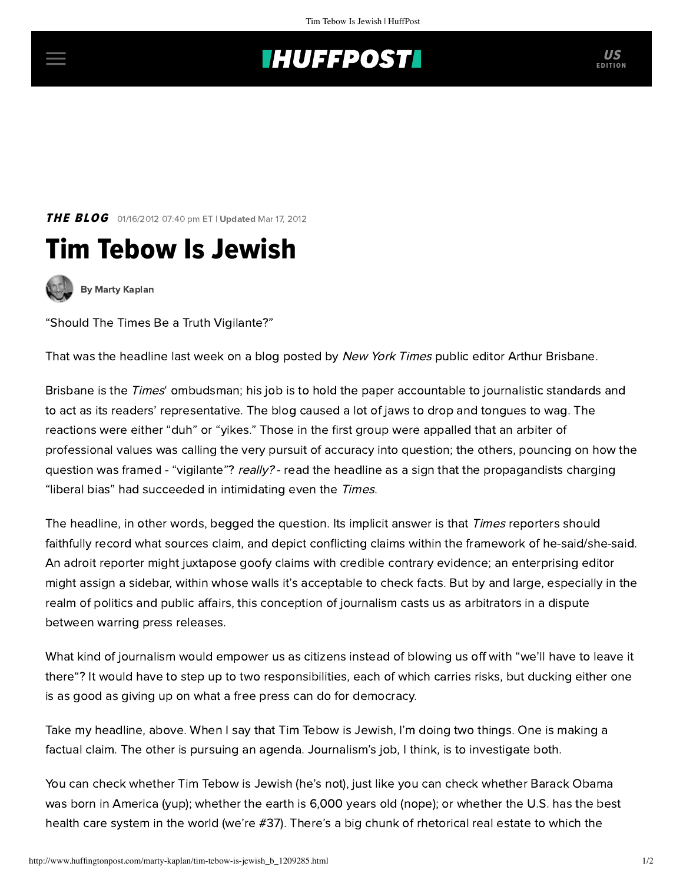## **THUFFPOST**

**THE BLOG** 01/16/2012 07:40 pm ET | Updated Mar 17, 2012





[By Marty Kaplan](http://www.huffingtonpost.com/author/marty-kaplan)

"Should The Times Be a Truth Vigilante?"

That was the headline last week on a [blog](http://publiceditor.blogs.nytimes.com/2012/01/12/should-the-times-be-a-truth-vigilante/) posted by New York Times public editor Arthur Brisbane.

Brisbane is the *Times*' ombudsman; his job is to hold the paper accountable to journalistic standards and to act as its readers' representative. The blog caused a lot of jaws to drop and tongues to wag. The [reactions](http://www.poynter.org/latest-news/regret-the-error/159257/journalists-incredulous-as-times-public-editor-asks-should-the-times-be-a-truth-vigilante/) were either "duh" or "yikes." Those in the first group were appalled that an arbiter of professional values was calling the very pursuit of accuracy into question; the others, pouncing on how the question was framed - "vigilante"? really? - read the headline as a sign that the propagandists charging "liberal bias" had succeeded in intimidating even the Times.

The headline, in other words, begged the question. Its implicit answer is that Times reporters should faithfully record what sources claim, and depict conflicting claims within the framework of he-said/she-said. An adroit reporter might juxtapose goofy claims with credible contrary evidence; an enterprising editor might assign a sidebar, within whose walls it's acceptable to check facts. But by and large, especially in the realm of politics and public affairs, this conception of journalism casts us as arbitrators in a dispute between warring press releases.

What kind of journalism would empower us as citizens instead of blowing us off with "we'll have to leave it [there"? It would have to step up to two responsibilities, each of which carries risks, but ducking either one](http://pressthink.org/2011/07/cnn-leaves-it-there-is-now-officially-a-problem-at-cnn/) is as good as giving up on what a free press can do for democracy.

Take my headline, above. When I say that Tim Tebow is Jewish, I'm doing two things. One is making a factual claim. The other is pursuing an agenda. Journalism's job, I think, is to investigate both.

You can check whether Tim Tebow is Jewish (he's not), just like you can check whether Barack Obama was born in America (yup); whether the earth is 6,000 years old (nope); or whether the U.S. has the best health care system in the world [\(we're #37\)](http://www.youtube.com/watch?v=yVgOl3cETb4). There's a big chunk of rhetorical real estate to which the